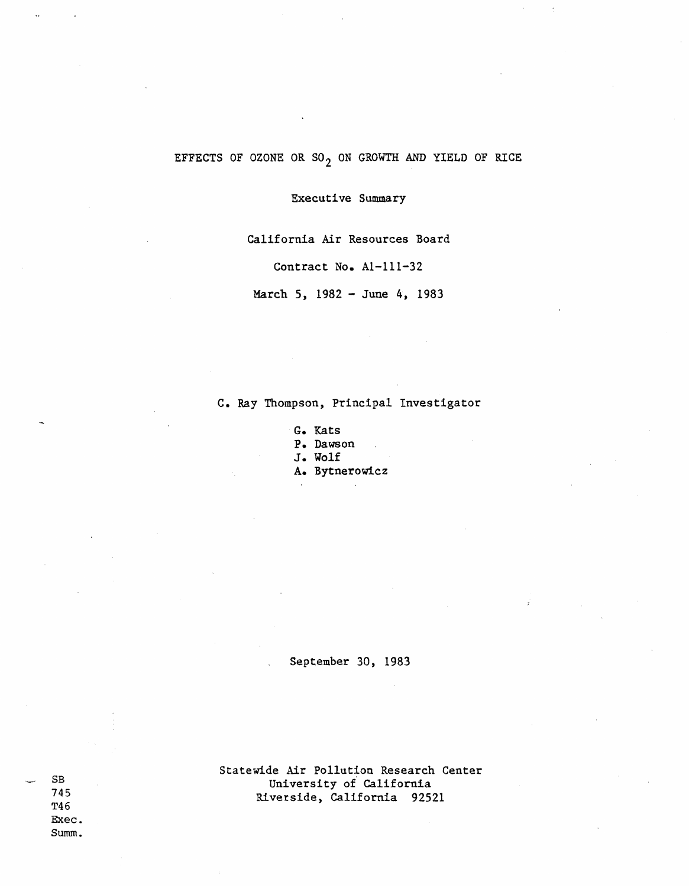## EFFECTS OF OZONE OR  $so<sub>2</sub>$  ON GROWTH AND YIELD OF RICE

Executive Summary

California Air Resources Board

Contract No. Al-111-32

March S, 1982 - June 4, 1983

C. Ray Thompson, Principal Investigator

- G. Kats
- P. Dawson
- J. Wolf
- A. Bytnerowicz

September 30, 1983

Statewide Air Pollution Research Center SB University of California Riverside, California 92521

T46 Exec. Summ. 745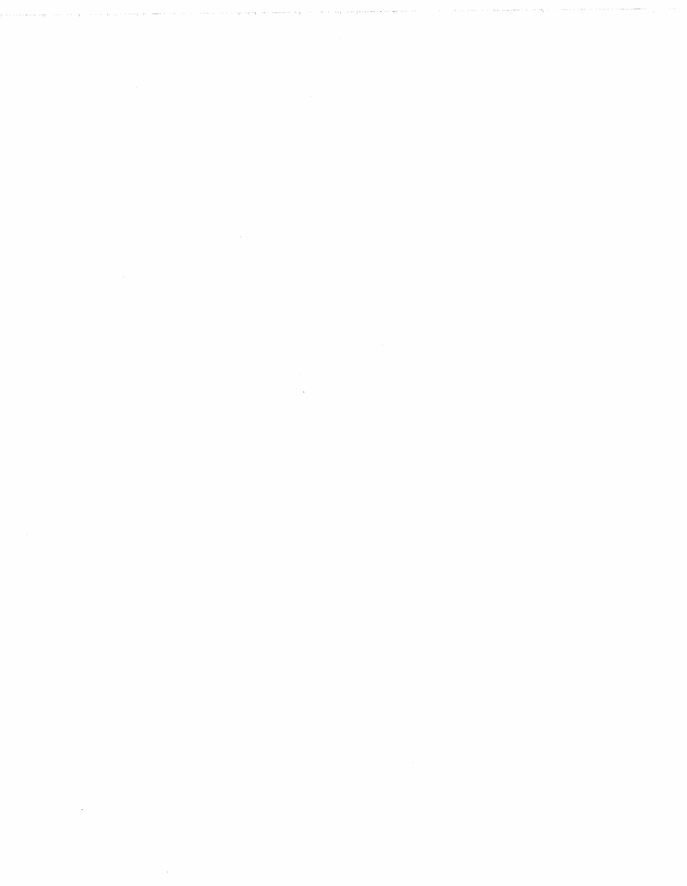ليواديا والمحامين والمراجع 

 $\mathcal{A}^{\text{max}}_{\text{max}}$ 

 $\sim$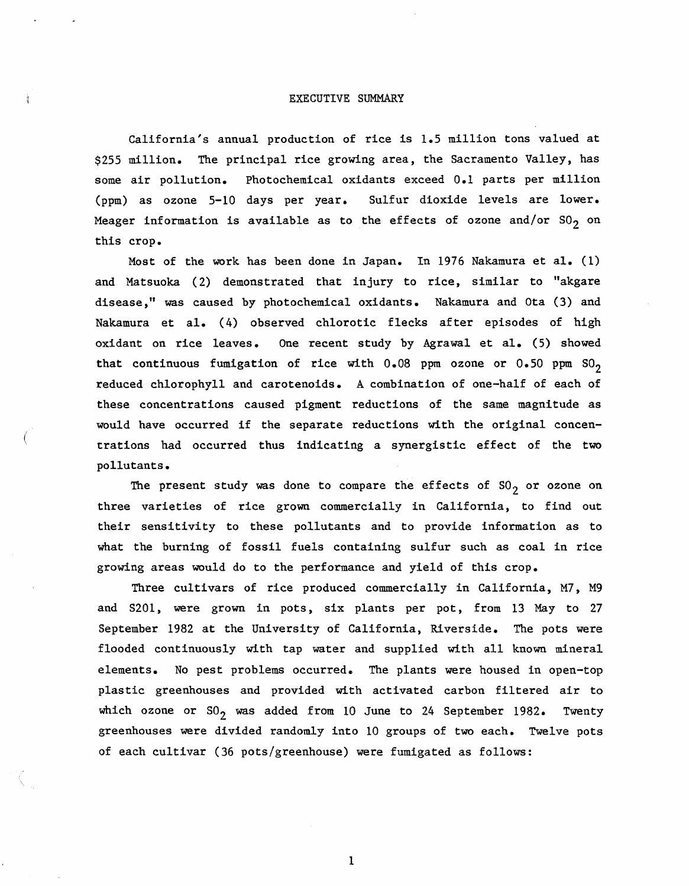## EXECUTIVE SUMMARY

California's annual production of rice is 1.5 million tons valued at \$255 million. The principal rice growing area, the Sacramento Valley, has some air pollution. Photochemical oxidants exceed O.1 parts per million (ppm) as ozone 5-10 days per year. Sulfur dioxide levels are lower. Meager information is available as to the effects of ozone and/or  $SO_2$  on this crop.

Most of the work has been done in Japan. In 1976 Nakamura et al. (1) and Matsuoka (2) demonstrated that injury to rice, similar to "akgare disease," was caused by photochemical oxidants. Nakamura and Ota (3) and Nakamura et al. (4) observed chlorotic flecks after episodes of high oxidant on rice leaves. One recent study by Agrawal et al. (5) showed that continuous fumigation of rice with  $0.08$  ppm ozone or  $0.50$  ppm  $S0<sub>2</sub>$ reduced chlorophyll and carotenoids. A combination of one-half of each of these concentrations caused pigment reductions of the same magnitude as would have occurred if the separate reductions with the original concentrations had occurred thus indicating a synergistic effect of the two pollutants.

(

The present study was done to compare the effects of  $S0<sub>2</sub>$  or ozone on three varieties of rice grown commercially in California, to find out their sensitivity to these pollutants and to provide information as to what the burning of fossil fuels containing sulfur such as coal in rice growing areas would do to the performance and yield of this crop.

Three cultivars of rice produced commercially in California, M7, M9 and S201, were grown in pots, six plants per pot, from 13 May to 27 September 1982 at the University of California, Riverside. The pots were flooded continuously with tap water and supplied with all known mineral elements. No pest problems occurred. The plants were housed in open-top plastic greenhouses and provided with activated carbon filtered air to which ozone or  $SO_2$  was added from 10 June to 24 September 1982. Twenty greenhouses were divided randomly into 10 groups of two each. Twelve pots of each cultivar (36 pots/greenhouse) were fumigated as follows: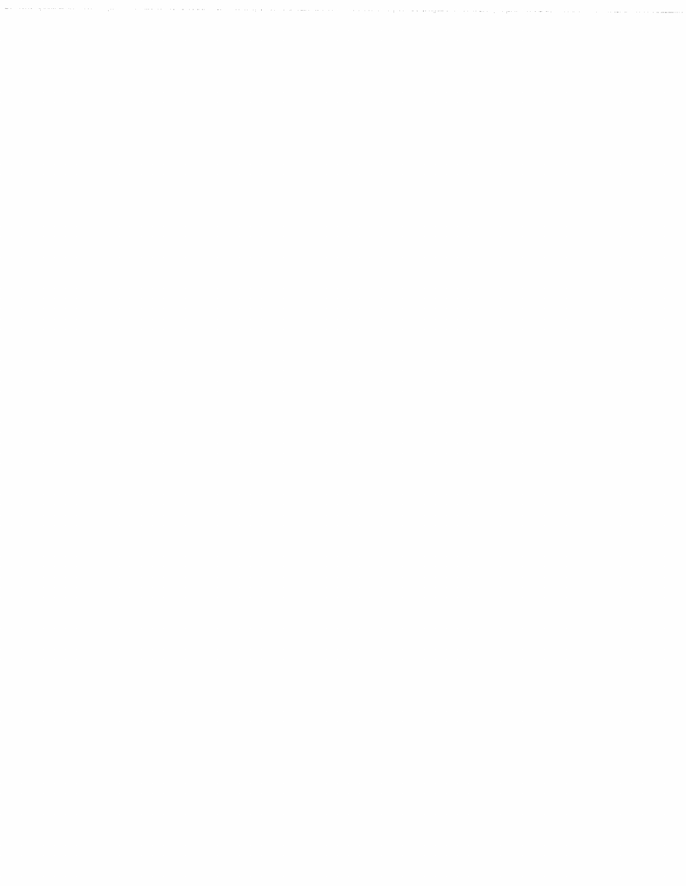ann geneman in Sprit ann a ceann a sin go a chumadh sin i gu a thughe can neas inn ann a sin a san ann ann ann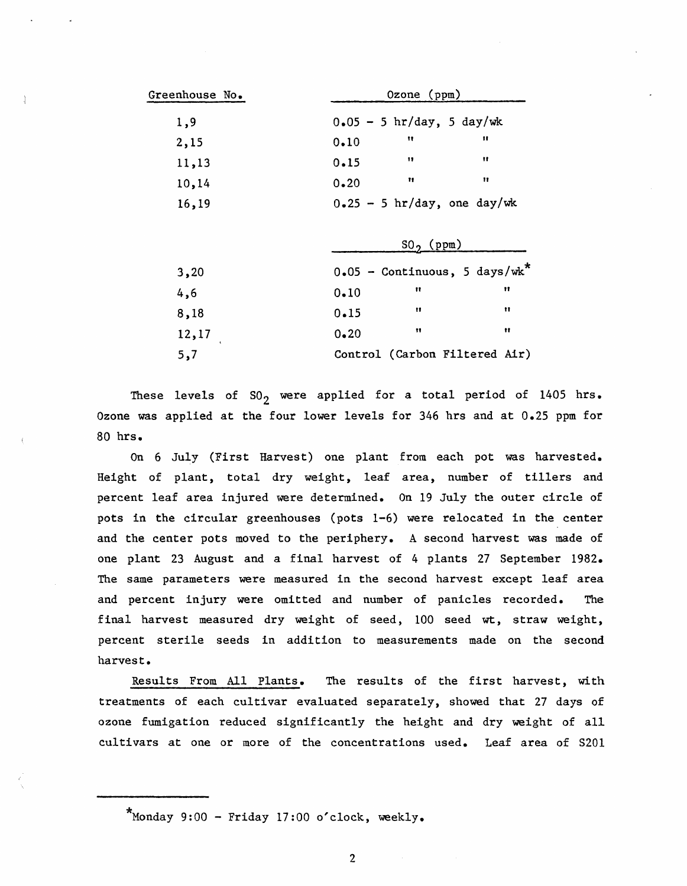| Greenhouse No. | Ozone $(ppm)$                               |                      |
|----------------|---------------------------------------------|----------------------|
| 1,9            | $0.05 - 5$ hr/day, 5 day/wk                 |                      |
| 2,15           | Ħ<br>0.10                                   | $\pmb{\mathfrak{g}}$ |
| 11,13          | $\mathbf{H}$<br>0.15                        | 11                   |
| 10,14          | 11<br>$0 - 20$                              | $^{\dagger}$         |
| 16,19          | $0.25 - 5$ hr/day, one day/wk               |                      |
|                | $SO_2$ (ppm)                                |                      |
| 3,20           | $0.05$ - Continuous, 5 days/wk <sup>*</sup> |                      |
| 4,6            | Ħ<br>$0 - 10$                               | Ħ                    |
| 8,18           | Ħ<br>0.15                                   | $\mathbf{H}$         |
| 12,17          | Ħ<br>$0 - 20$                               | Ħ                    |
| 5,7            | Control (Carbon Filtered Air)               |                      |

These levels of  $S0<sub>2</sub>$  were applied for a total period of 1405 hrs. Ozone was applied at the four lower levels for 346 hrs and at 0.25 ppm for 80 hrs.

On 6 July (First Harvest) one plant from each pot was harvested. Height of plant, total dry weight, leaf area, number of tillers and percent leaf area injured were determined. On 19 July the outer circle of pots in the circular greenhouses (pots 1-6) were relocated in the center and the center pots moved to the periphery. A second harvest was made of one plant 23 August and a final harvest of 4 plants 27 September 1982. The same parameters were measured in the second harvest except leaf area and percent injury were omitted and number of panicles recorded. The final harvest measured dry weight of seed, 100 seed wt, straw weight, percent sterile seeds in addition to measurements made on the second harvest.

Results From All Plants. The results of the first harvest, with treatments of each cultivar evaluated separately, showed that 27 days of ozone fumigation reduced significantly the height and dry weight of all cultivars at one or more of the concentrations used. Leaf area of S201

 $*$ Monday 9:00 - Friday 17:00 o'clock, weekly.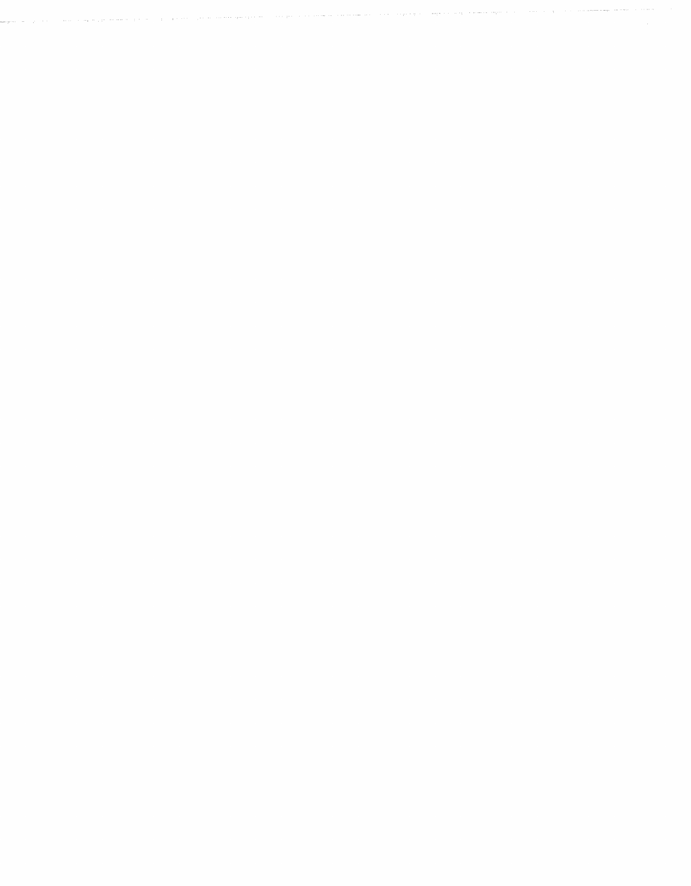المتعاصر والمستعمر والمستقاد والمستقاد والمستحدث والمستقاد والمستعدد والمتحدث والمستقاد والمستنقر والمتحدث والمستحدث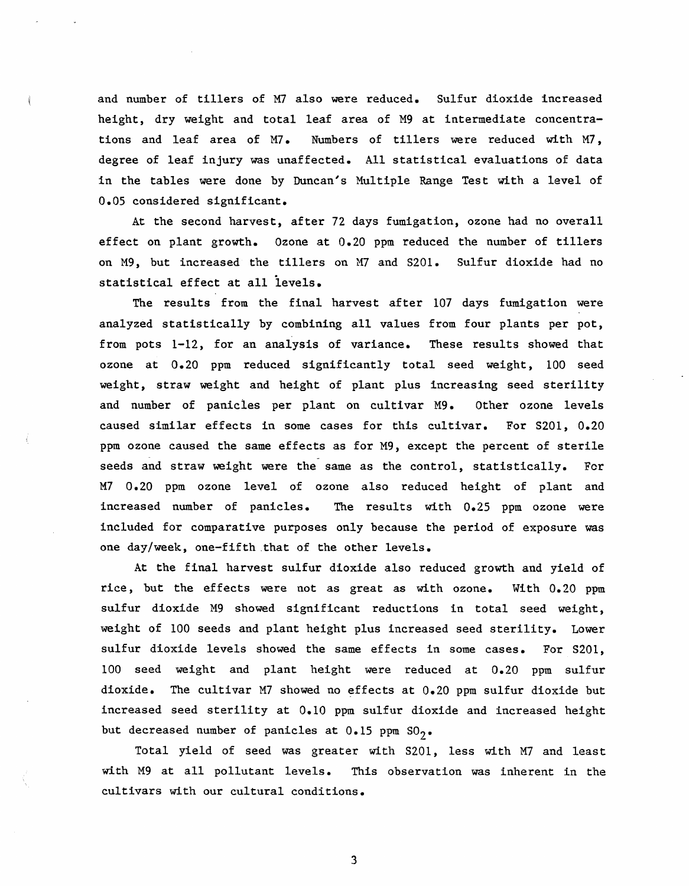and number of tillers of M7 also were reduced. Sulfur dioxide increased height, dry weight and total leaf area of M9 at intermediate concentrations and leaf area of M7. Numbers of tillers were reduced with M7, degree of leaf injury was unaffected. All statistical evaluations of data in the tables were done by Duncan's Multiple Range Test with a level of 0.05 considered significant.

At the second harvest, after 72 days fumigation, ozone had no overall effect on plant growth. Ozone at 0.20 ppm reduced the number of tillers on M9, but increased the tillers on M7 and S201. Sulfur dioxide had no statistical effect at all ievels.

The results from the final harvest after 107 days fumigation were analyzed statistically by combining all values from four plants per pot, from pots 1-12, for an analysis of variance. These results showed that ozone at 0.20 ppm reduced significantly total seed weight, 100 seed weight, straw weight and height of plant plus increasing seed sterility and number of panicles per plant on cultivar M9. Other ozone levels caused similar effects in some cases for this cultivar. For S201, 0.20 ppm ozone caused the same effects as for M9, except the percent of sterile seeds and straw weight were the same as the control, statistically. For M7 0.20 ppm ozone level of ozone also reduced height of plant and increased number of panicles. The results with 0.25 ppm ozone were included for comparative purposes only because the period of exposure was one day/week, one-fifth .that of the other levels.

At the final harvest sulfur dioxide also reduced growth and yield of rice, but the effects were not as great as with ozone. With 0.20 ppm sulfur dioxide M9 showed significant reductions in total seed weight, weight of 100 seeds and plant height plus increased seed sterility. Lower sulfur dioxide levels showed the same effects in some cases. For S201, 100 seed weight and plant height were reduced at 0.20 ppm sulfur dioxide. The cultivar M7 showed no effects at 0.20 ppm sulfur dioxide but increased seed sterility at 0.10 ppm sulfur dioxide and increased height but decreased number of panicles at  $0.15$  ppm  $S0<sub>2</sub>$ .

Total yield of seed was greater with S201, less with M7 and least with M9 at all pollutant levels. This observation was inherent in the cultivars with our cultural conditions.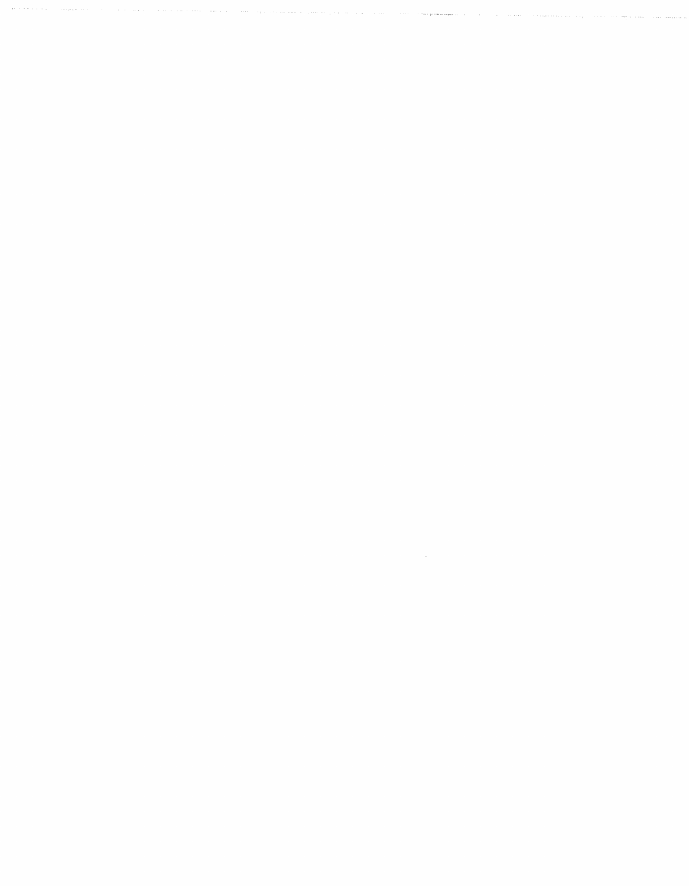وبالمتموضون استواء الرابا وسوسسوسو موازيون والمراجع شعور وسندع والمداريخ وسيتستعدد بتواصل الزايد سهوس يقتيعهم  $\label{eq:2.1} \frac{1}{\sqrt{2}}\int_{\mathbb{R}^3}\frac{1}{\sqrt{2}}\left(\frac{1}{\sqrt{2}}\right)^2\frac{1}{\sqrt{2}}\left(\frac{1}{\sqrt{2}}\right)^2\frac{1}{\sqrt{2}}\left(\frac{1}{\sqrt{2}}\right)^2\frac{1}{\sqrt{2}}\left(\frac{1}{\sqrt{2}}\right)^2.$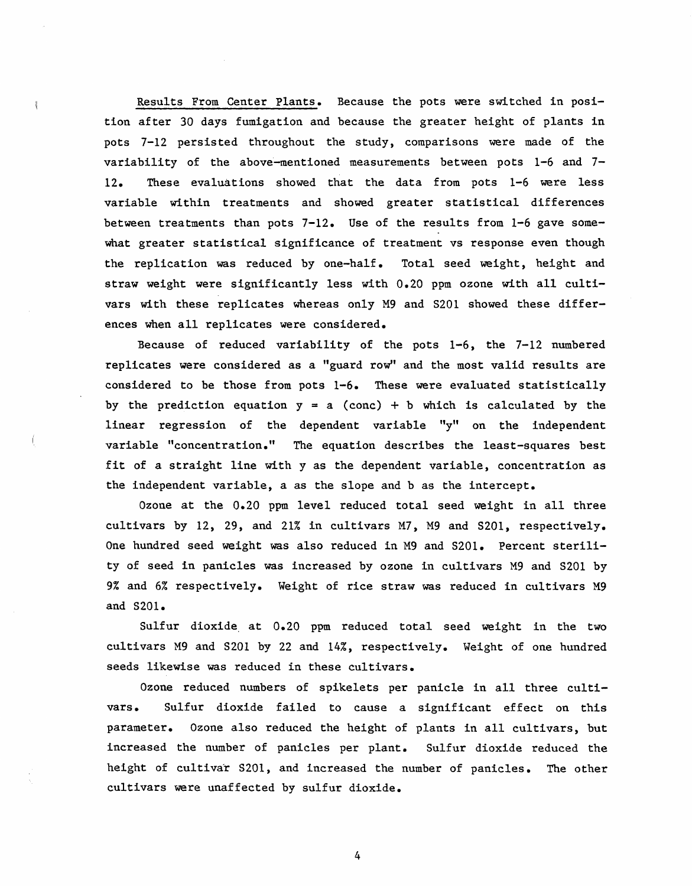Results From Center Plants. Because the pots were switched in position after 30 days fumigation and because the greater height of plants in pots 7-12 persisted throughout the study, comparisons were made of the variability of the above-mentioned measurements between pots 1-6 and 7- 12. These evaluations showed that the data from pots 1-6 were less variable within treatments and showed greater statistical differences between treatments than pots 7-12. Use of the results from 1-6 gave somewhat greater statistical significance of treatment vs response even though the replication was reduced by one-half. Total seed weight, height and straw weight were significantly less with 0.20 ppm ozone with all cultivars with these replicates whereas only M9 and S201 showed these differences when all replicates were considered.

Because of reduced variability of the pots 1-6, the 7-12 numbered replicates were considered as a "guard row'' and the most valid results are considered to be those from pots 1-6. These were evaluated statistically by the prediction equation  $y = a$  (conc) + b which is calculated by the linear regression of the dependent variable "y" on the independent variable "concentration." The equation describes the least-squares best fit of a straight line with y as the dependent variable, concentration as the independent variable, a as the slope and b as the intercept.

Ozone at the 0.20 ppm level reduced total seed weight in all three cultivars by 12, 29, and 21% in cultivars M7, M9 and S201, respectively. One hundred seed weight was also reduced in M9 and S201. Percent sterility of seed in panicles was increased by ozone in cultivars M9 and S201 by 9% and 6% respectively. Weight of rice straw was reduced in cultivars M9 and S201.

Sulfur dioxide\_ at 0.20 ppm reduced total seed weight in the two cultivars M9 and S201 by 22 and 14%, respectively. Weight of one hundred seeds likewise was reduced in these cultivars.

Ozone reduced numbers of spikelets per panicle in all three cultivars. Sulfur dioxide failed to cause a significant effect on this parameter. Ozone also reduced the height of plants in all cultivars, but increased the number of panicles per plant. Sulfur dioxide reduced the height of cultivar S201, and increased the number of panicles. The other cultivars were unaffected by sulfur dioxide.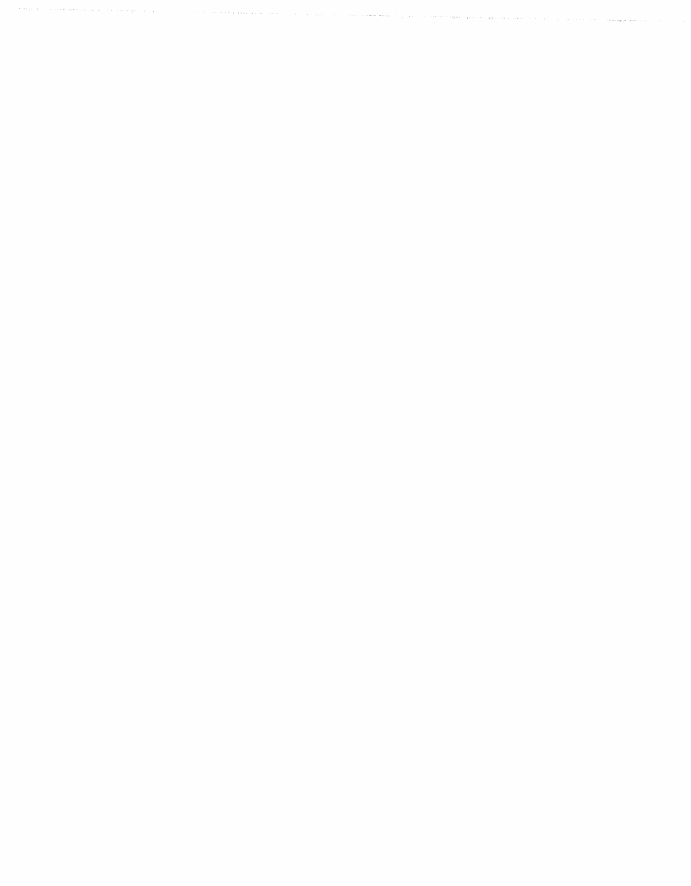the complete state of the complete state of the state of the complete state of the  $\mathcal{A}_\mathcal{A}$  $\phi$  , where  $\phi$  is smooth and  $\phi$  , and  $\phi$ ويكرسها وسنتقلص بالمتاريخ والمراس المداني للتعاونس مشهد والمتعرق يتسرب والمرابي والمتشاملين ومنادر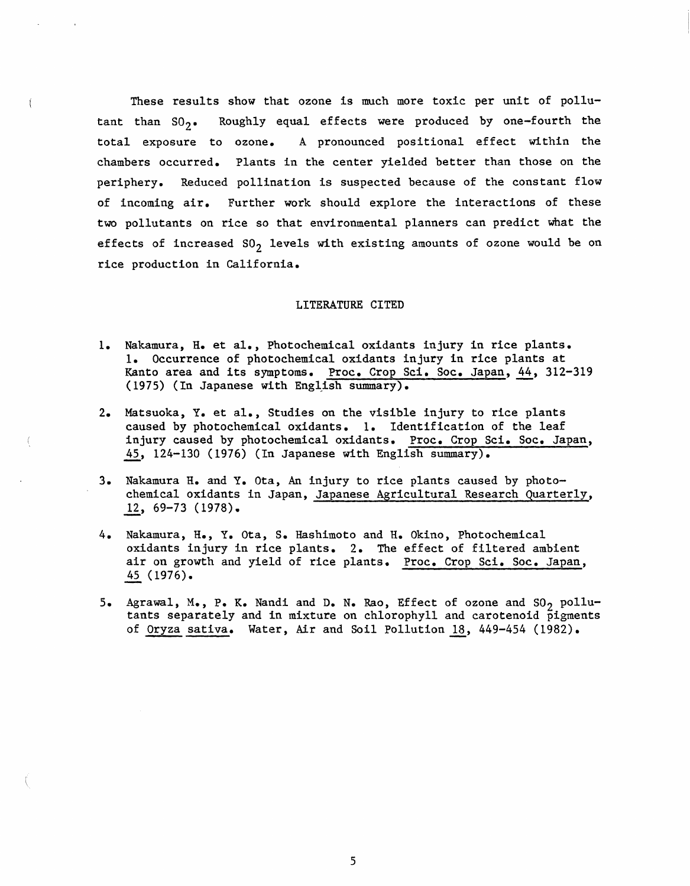These results show that ozone is much more toxic per unit of pollutant than  $S0<sub>2</sub>$ . Roughly equal effects were produced by one-fourth the total exposure to ozone. A pronounced positional effect within the chambers occurred. Plants in the center yielded better than those on the periphery. Reduced pollination is suspected because of the constant flow of incoming air. Further work should explore the interactions of these two pollutants on rice so that environmental planners can predict what the effects of increased  $SO_2$  levels with existing amounts of ozone would be on rice production in California.

## LITERATURE CITED

- 1. Nakamura, H. et al., Photochemical oxidants injury in rice plants. 1. Occurrence of photochemical oxidants injury in rice plants at Kanto area and its symptoms. Proc. Crop Sci. Soc. Japan, 44, 312-319 (1975) (In Japanese with English summary).
- 2. Matsuoka, Y. et al., Studies on the visible injury to rice plants caused by photochemical oxidants. 1. Identification of the leaf injury caused by photochemical oxidants. Proc. Crop Sci. Soc. Japan, 45, 124-130 (1976) (In Japanese with English summary).
- 3. Nakamura H. and Y. Ota, An injury to rice plants caused by photochemical oxidants in Japan, Japanese Agricultural Research Quarterly, \_g, 69-73 (1978).
- 4. Nakamura, H., Y. Ota, S. Hashimoto and H. Okino, Photochemical oxidants injury in rice plants. 2. The effect of filtered ambient air on growth and yield of rice plants. Proc. Crop Sci. Soc. Japan, 45 (1976).
- 5. Agrawal, M., P. K. Nandi and D. N. Rao, Effect of ozone and  $S0<sub>2</sub>$  pollutants separately and in mixture on chlorophyll and carotenoid pigments of Oryza sativa. Water, Air and Soil Pollution 18, 449-454 (1982).